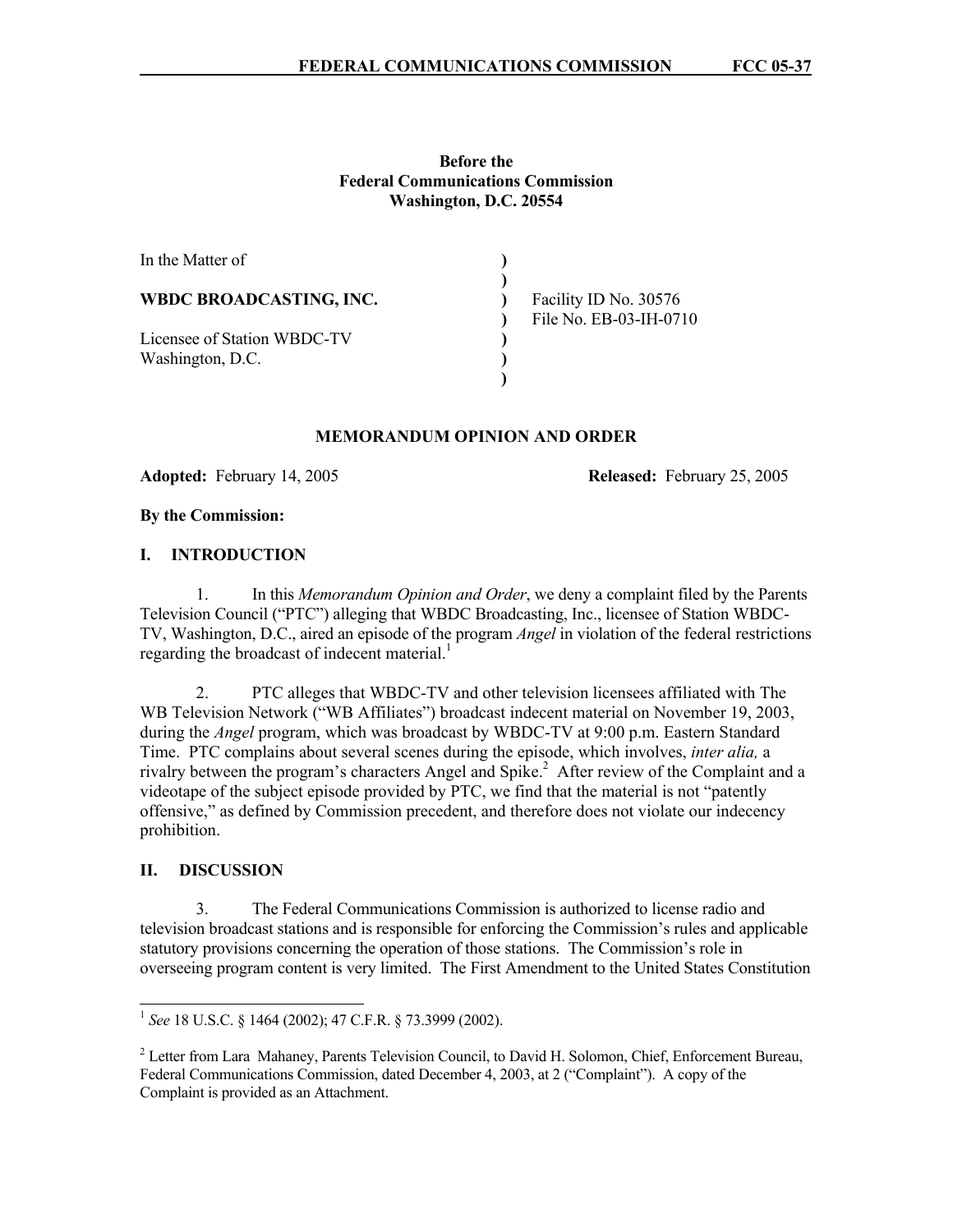### **Before the Federal Communications Commission Washington, D.C. 20554**

| In the Matter of               |                                                 |
|--------------------------------|-------------------------------------------------|
| <b>WBDC BROADCASTING, INC.</b> | Facility ID No. 30576<br>File No. EB-03-IH-0710 |
| Licensee of Station WBDC-TV    |                                                 |
| Washington, D.C.               |                                                 |
|                                |                                                 |

#### **MEMORANDUM OPINION AND ORDER**

**Adopted:** February 14, 2005 **Released:** February 25, 2005

#### **By the Commission:**

### **I. INTRODUCTION**

 1. In this *Memorandum Opinion and Order*, we deny a complaint filed by the Parents Television Council ("PTC") alleging that WBDC Broadcasting, Inc., licensee of Station WBDC-TV, Washington, D.C., aired an episode of the program *Angel* in violation of the federal restrictions regarding the broadcast of indecent material.<sup>1</sup>

 2. PTC alleges that WBDC-TV and other television licensees affiliated with The WB Television Network ("WB Affiliates") broadcast indecent material on November 19, 2003, during the *Angel* program, which was broadcast by WBDC-TV at 9:00 p.m. Eastern Standard Time. PTC complains about several scenes during the episode, which involves, *inter alia,* a rivalry between the program's characters Angel and Spike.<sup>2</sup> After review of the Complaint and a videotape of the subject episode provided by PTC, we find that the material is not "patently offensive," as defined by Commission precedent, and therefore does not violate our indecency prohibition.

## **II. DISCUSSION**

 $\overline{a}$ 

3. The Federal Communications Commission is authorized to license radio and television broadcast stations and is responsible for enforcing the Commission's rules and applicable statutory provisions concerning the operation of those stations. The Commission's role in overseeing program content is very limited. The First Amendment to the United States Constitution

<sup>1</sup> *See* 18 U.S.C. § 1464 (2002); 47 C.F.R. § 73.3999 (2002).

<sup>&</sup>lt;sup>2</sup> Letter from Lara Mahaney, Parents Television Council, to David H. Solomon, Chief, Enforcement Bureau, Federal Communications Commission, dated December 4, 2003, at 2 ("Complaint"). A copy of the Complaint is provided as an Attachment.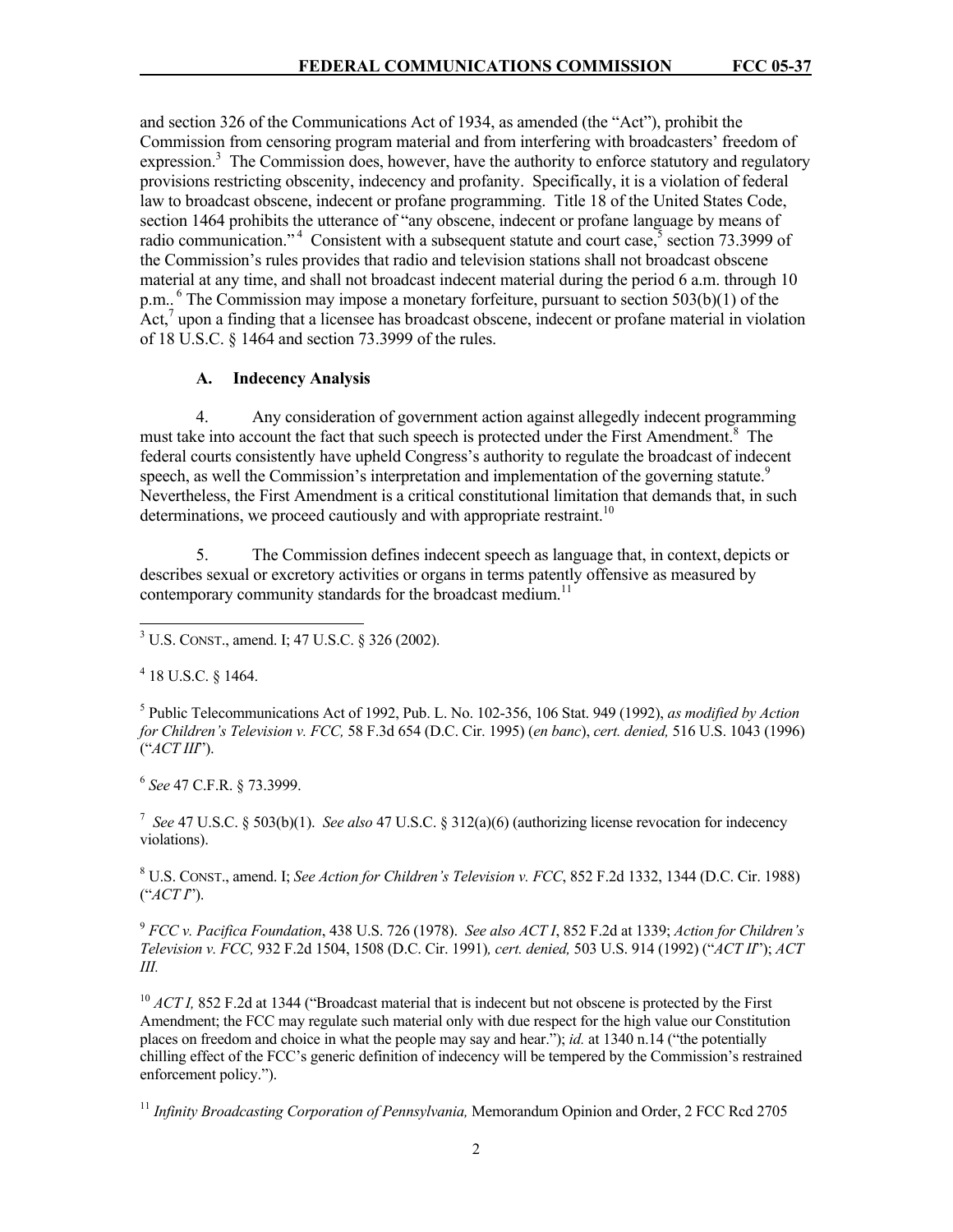and section 326 of the Communications Act of 1934, as amended (the "Act"), prohibit the Commission from censoring program material and from interfering with broadcasters' freedom of expression.<sup>3</sup> The Commission does, however, have the authority to enforce statutory and regulatory provisions restricting obscenity, indecency and profanity. Specifically, it is a violation of federal law to broadcast obscene, indecent or profane programming. Title 18 of the United States Code, section 1464 prohibits the utterance of "any obscene, indecent or profane language by means of radio communication."<sup>4</sup> Consistent with a subsequent statute and court case, section 73.3999 of the Commission's rules provides that radio and television stations shall not broadcast obscene material at any time, and shall not broadcast indecent material during the period 6 a.m. through 10 p.m.. <sup>6</sup> The Commission may impose a monetary forfeiture, pursuant to section  $503(b)(1)$  of the Act,<sup>7</sup> upon a finding that a licensee has broadcast obscene, indecent or profane material in violation of 18 U.S.C. § 1464 and section 73.3999 of the rules.

## **A. Indecency Analysis**

4. Any consideration of government action against allegedly indecent programming must take into account the fact that such speech is protected under the First Amendment.<sup>8</sup> The federal courts consistently have upheld Congress's authority to regulate the broadcast of indecent speech, as well the Commission's interpretation and implementation of the governing statute.<sup>9</sup> Nevertheless, the First Amendment is a critical constitutional limitation that demands that, in such determinations, we proceed cautiously and with appropriate restraint.<sup>10</sup>

5. The Commission defines indecent speech as language that, in context, depicts or describes sexual or excretory activities or organs in terms patently offensive as measured by contemporary community standards for the broadcast medium.<sup>11</sup>

4 18 U.S.C. § 1464.

 $\overline{a}$ 

5 Public Telecommunications Act of 1992, Pub. L. No. 102-356, 106 Stat. 949 (1992), *as modified by Action for Children's Television v. FCC,* 58 F.3d 654 (D.C. Cir. 1995) (*en banc*), *cert. denied,* 516 U.S. 1043 (1996) ("*ACT III*").

6  *See* 47 C.F.R. § 73.3999.

<sup>7</sup> *See* 47 U.S.C. § 503(b)(1). *See also* 47 U.S.C. § 312(a)(6) (authorizing license revocation for indecency violations).

8 U.S. CONST., amend. I; *See Action for Children's Television v. FCC*, 852 F.2d 1332, 1344 (D.C. Cir. 1988) ("*ACT I*").

<sup>9</sup> *FCC v. Pacifica Foundation*, 438 U.S. 726 (1978). *See also ACT I*, 852 F.2d at 1339; *Action for Children's Television v. FCC,* 932 F.2d 1504, 1508 (D.C. Cir. 1991)*, cert. denied,* 503 U.S. 914 (1992) ("*ACT II*"); *ACT III.*

<sup>10</sup> *ACT I, 852 F.2d at 1344 ("Broadcast material that is indecent but not obscene is protected by the First* Amendment; the FCC may regulate such material only with due respect for the high value our Constitution places on freedom and choice in what the people may say and hear."); *id.* at 1340 n.14 ("the potentially chilling effect of the FCC's generic definition of indecency will be tempered by the Commission's restrained enforcement policy.").

<sup>11</sup> *Infinity Broadcasting Corporation of Pennsylvania,* Memorandum Opinion and Order, 2 FCC Rcd 2705

<sup>3</sup> U.S. CONST., amend. I; 47 U.S.C. § 326 (2002).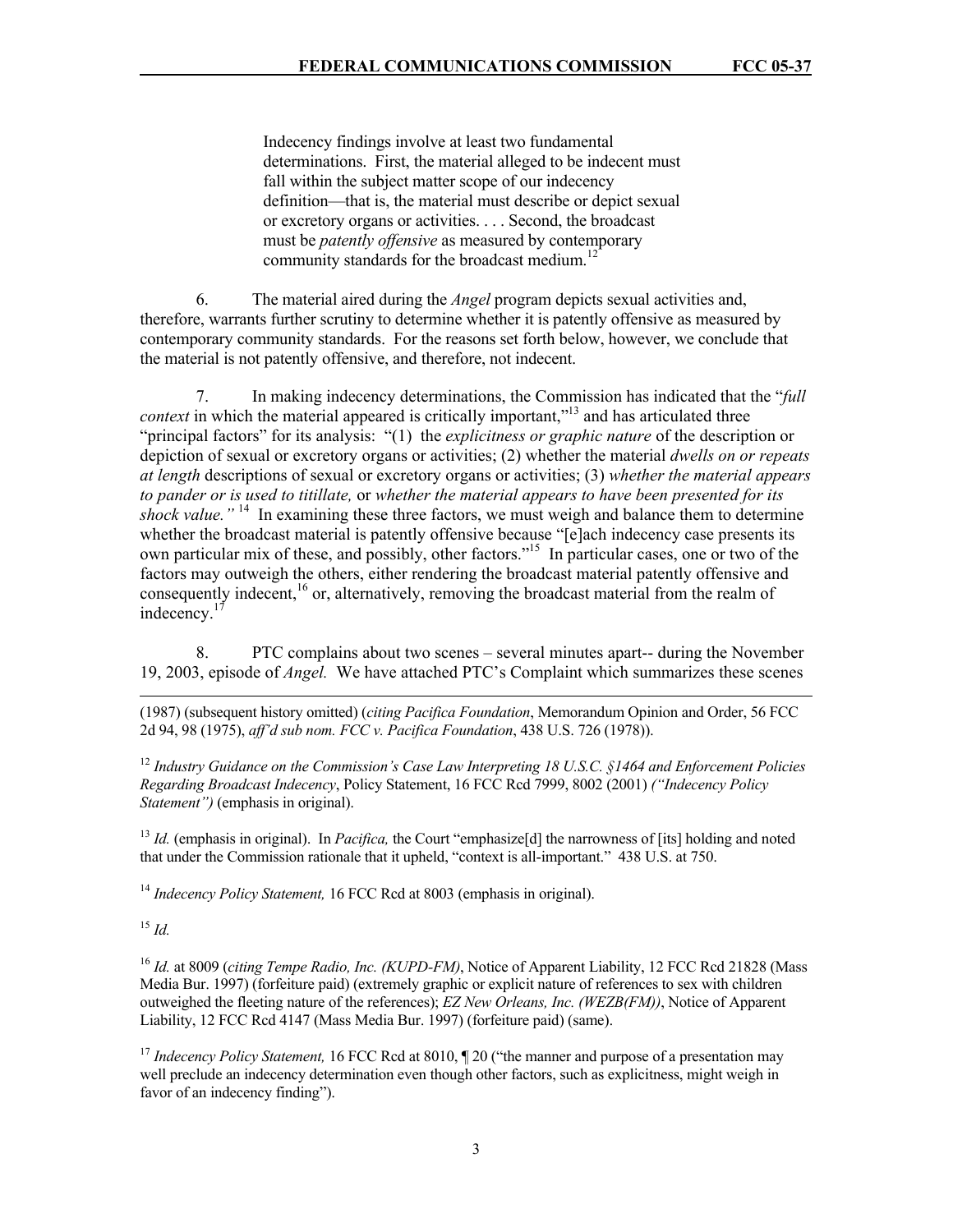Indecency findings involve at least two fundamental determinations. First, the material alleged to be indecent must fall within the subject matter scope of our indecency definition—that is, the material must describe or depict sexual or excretory organs or activities. . . . Second, the broadcast must be *patently offensive* as measured by contemporary community standards for the broadcast medium.<sup>12</sup>

 6. The material aired during the *Angel* program depicts sexual activities and, therefore, warrants further scrutiny to determine whether it is patently offensive as measured by contemporary community standards. For the reasons set forth below, however, we conclude that the material is not patently offensive, and therefore, not indecent.

 7. In making indecency determinations, the Commission has indicated that the "*full context* in which the material appeared is critically important,"<sup>13</sup> and has articulated three "principal factors" for its analysis: "(1) the *explicitness or graphic nature* of the description or depiction of sexual or excretory organs or activities; (2) whether the material *dwells on or repeats at length* descriptions of sexual or excretory organs or activities; (3) *whether the material appears to pander or is used to titillate,* or *whether the material appears to have been presented for its*  shock value."<sup>14</sup> In examining these three factors, we must weigh and balance them to determine whether the broadcast material is patently offensive because "[e]ach indecency case presents its own particular mix of these, and possibly, other factors."<sup>15</sup> In particular cases, one or two of the factors may outweigh the others, either rendering the broadcast material patently offensive and consequently indecent,<sup>16</sup> or, alternatively, removing the broadcast material from the realm of indecency.<sup>17</sup>

8. PTC complains about two scenes – several minutes apart-- during the November 19, 2003, episode of *Angel.* We have attached PTC's Complaint which summarizes these scenes

(1987) (subsequent history omitted) (*citing Pacifica Foundation*, Memorandum Opinion and Order, 56 FCC 2d 94, 98 (1975), *aff'd sub nom. FCC v. Pacifica Foundation*, 438 U.S. 726 (1978)).

<sup>12</sup> *Industry Guidance on the Commission's Case Law Interpreting 18 U.S.C. §1464 and Enforcement Policies Regarding Broadcast Indecency*, Policy Statement, 16 FCC Rcd 7999, 8002 (2001) *("Indecency Policy Statement")* (emphasis in original).

<sup>13</sup> *Id.* (emphasis in original). In *Pacifica*, the Court "emphasize[d] the narrowness of [its] holding and noted that under the Commission rationale that it upheld, "context is all-important." 438 U.S. at 750.

<sup>14</sup> *Indecency Policy Statement,* 16 FCC Rcd at 8003 (emphasis in original).

<sup>15</sup> *Id.*

 $\overline{a}$ 

<sup>16</sup> *Id.* at 8009 (*citing Tempe Radio, Inc. (KUPD-FM)*, Notice of Apparent Liability, 12 FCC Rcd 21828 (Mass Media Bur. 1997) (forfeiture paid) (extremely graphic or explicit nature of references to sex with children outweighed the fleeting nature of the references); *EZ New Orleans, Inc. (WEZB(FM))*, Notice of Apparent Liability, 12 FCC Rcd 4147 (Mass Media Bur. 1997) (forfeiture paid) (same).

<sup>17</sup> Indecency Policy Statement, 16 FCC Rcd at 8010, ¶ 20 ("the manner and purpose of a presentation may well preclude an indecency determination even though other factors, such as explicitness, might weigh in favor of an indecency finding").